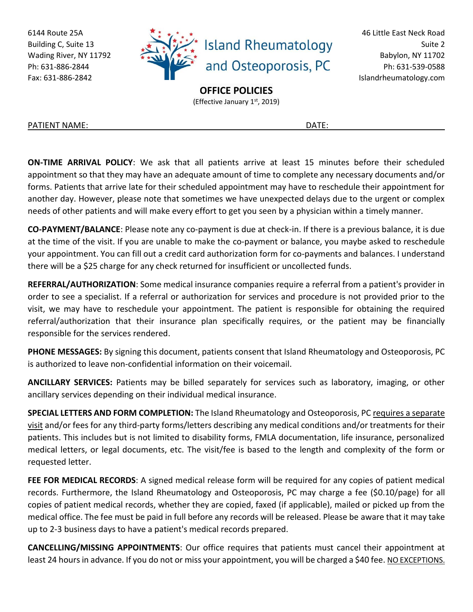6144 Route 25A Building C, Suite 13 Wading River, NY 11792 Ph: 631-886-2844 Fax: 631-886-2842



46 Little East Neck Road Suite 2 Babylon, NY 11702 Ph: 631-539-0588 Islandrheumatology.com

**OFFICE POLICIES**

(Effective January 1st, 2019)

PATIENT NAME: DATE:

**ON-TIME ARRIVAL POLICY**: We ask that all patients arrive at least 15 minutes before their scheduled appointment so that they may have an adequate amount of time to complete any necessary documents and/or forms. Patients that arrive late for their scheduled appointment may have to reschedule their appointment for another day. However, please note that sometimes we have unexpected delays due to the urgent or complex needs of other patients and will make every effort to get you seen by a physician within a timely manner.

**CO-PAYMENT/BALANCE**: Please note any co-payment is due at check-in. If there is a previous balance, it is due at the time of the visit. If you are unable to make the co-payment or balance, you maybe asked to reschedule your appointment. You can fill out a credit card authorization form for co-payments and balances. I understand there will be a \$25 charge for any check returned for insufficient or uncollected funds.

**REFERRAL/AUTHORIZATION**: Some medical insurance companies require a referral from a patient's provider in order to see a specialist. If a referral or authorization for services and procedure is not provided prior to the visit, we may have to reschedule your appointment. The patient is responsible for obtaining the required referral/authorization that their insurance plan specifically requires, or the patient may be financially responsible for the services rendered.

**PHONE MESSAGES:** By signing this document, patients consent that Island Rheumatology and Osteoporosis, PC is authorized to leave non-confidential information on their voicemail.

**ANCILLARY SERVICES:** Patients may be billed separately for services such as laboratory, imaging, or other ancillary services depending on their individual medical insurance.

**SPECIAL LETTERS AND FORM COMPLETION:** The Island Rheumatology and Osteoporosis, PC requires a separate visit and/or fees for any third-party forms/letters describing any medical conditions and/or treatments for their patients. This includes but is not limited to disability forms, FMLA documentation, life insurance, personalized medical letters, or legal documents, etc. The visit/fee is based to the length and complexity of the form or requested letter.

**FEE FOR MEDICAL RECORDS**: A signed medical release form will be required for any copies of patient medical records. Furthermore, the Island Rheumatology and Osteoporosis, PC may charge a fee (\$0.10/page) for all copies of patient medical records, whether they are copied, faxed (if applicable), mailed or picked up from the medical office. The fee must be paid in full before any records will be released. Please be aware that it may take up to 2-3 business days to have a patient's medical records prepared.

**CANCELLING/MISSING APPOINTMENTS**: Our office requires that patients must cancel their appointment at least 24 hours in advance. If you do not or miss your appointment, you will be charged a \$40 fee. NO EXCEPTIONS.